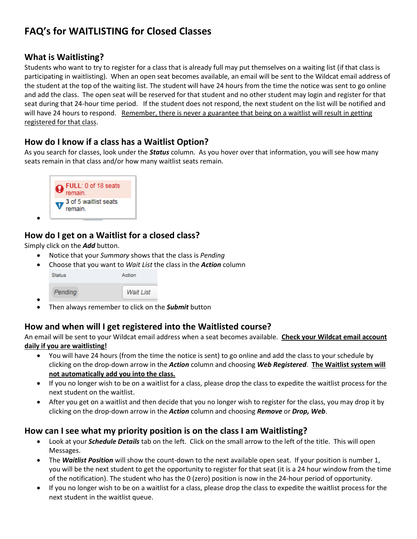# **FAQ's for WAITLISTING for Closed Classes**

## **What is Waitlisting?**

Students who want to try to register for a class that is already full may put themselves on a waiting list (if that class is participating in waitlisting). When an open seat becomes available, an email will be sent to the Wildcat email address of the student at the top of the waiting list. The student will have 24 hours from the time the notice was sent to go online and add the class. The open seat will be reserved for that student and no other student may login and register for that seat during that 24-hour time period. If the student does not respond, the next student on the list will be notified and will have 24 hours to respond. Remember, there is never a guarantee that being on a waitlist will result in getting registered for that class.

## **How do I know if a class has a Waitlist Option?**

As you search for classes, look under the *Status* column. As you hover over that information, you will see how many seats remain in that class and/or how many waitlist seats remain.



# **How do I get on a Waitlist for a closed class?**

Simply click on the *Add* button.

 $\bullet$ 

- Notice that your *Summary* shows that the class is *Pending*
- Choose that you want to *Wait List* the class in the *Action* column

| <b>Status</b> | Action    |
|---------------|-----------|
| Pending       | Wait List |

 $\bullet$ Then always remember to click on the *Submit* button

## **How and when will I get registered into the Waitlisted course?**

An email will be sent to your Wildcat email address when a seat becomes available. **Check your Wildcat email account daily if you are waitlisting!** 

- You will have 24 hours (from the time the notice is sent) to go online and add the class to your schedule by clicking on the drop-down arrow in the *Action* column and choosing *Web Registered*. **The Waitlist system will not automatically add you into the class.**
- If you no longer wish to be on a waitlist for a class, please drop the class to expedite the waitlist process for the next student on the waitlist.
- After you get on a waitlist and then decide that you no longer wish to register for the class, you may drop it by clicking on the drop-down arrow in the *Action* column and choosing *Remove* or *Drop, Web*.

# **How can I see what my priority position is on the class I am Waitlisting?**

- Look at your *Schedule Details* tab on the left. Click on the small arrow to the left of the title. This will open Messages.
- The *Waitlist Position* will show the count-down to the next available open seat. If your position is number 1, you will be the next student to get the opportunity to register for that seat (it is a 24 hour window from the time of the notification). The student who has the 0 (zero) position is now in the 24-hour period of opportunity.
- If you no longer wish to be on a waitlist for a class, please drop the class to expedite the waitlist process for the next student in the waitlist queue.